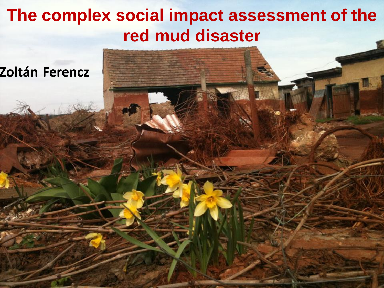## **The complex social impact assessment of the red mud disaster**

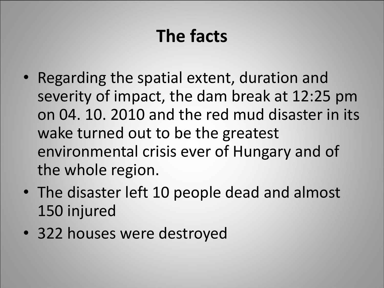# **The facts**

- Regarding the spatial extent, duration and severity of impact, the dam break at 12:25 pm on 04. 10. 2010 and the red mud disaster in its wake turned out to be the greatest environmental crisis ever of Hungary and of the whole region.
- The disaster left 10 people dead and almost 150 injured
- 322 houses were destroyed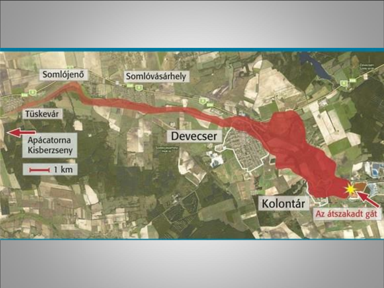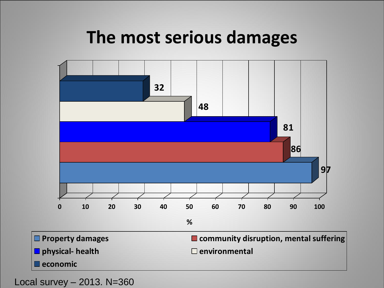### **The most serious damages**

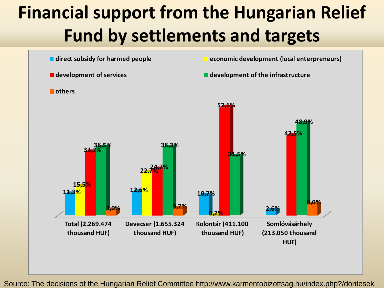# **Financial support from the Hungarian Relief Fund by settlements and targets**



Source: The decisions of the Hungarian Relief Committee http://www.karmentobizottsag.hu/index.php?/dontesek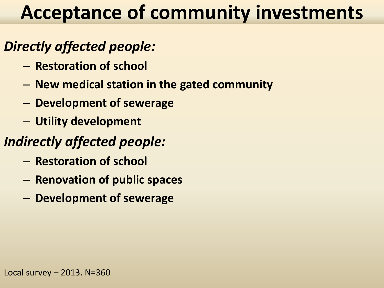# **Acceptance of community investments**

#### *Directly affected people:*

- **Restoration of school**
- **New medical station in the gated community**
- **Development of sewerage**
- **Utility development**

#### *Indirectly affected people:*

- **Restoration of school**
- **Renovation of public spaces**
- **Development of sewerage**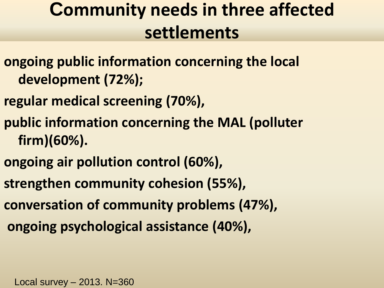## **Community needs in three affected settlements**

- **ongoing public information concerning the local development (72%);**
- **regular medical screening (70%),**
- **public information concerning the MAL (polluter firm)(60%).**
- **ongoing air pollution control (60%),**
- **strengthen community cohesion (55%),**
- **conversation of community problems (47%),**
- **ongoing psychological assistance (40%),**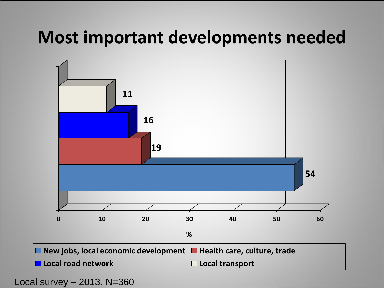## **Most important developments needed**

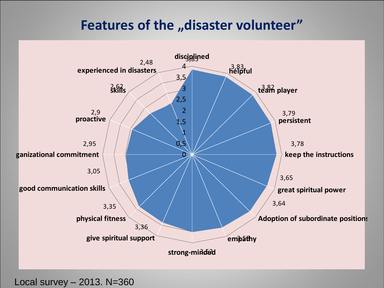#### **Features of the "disaster volunteer"**